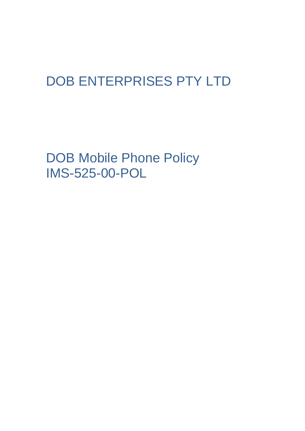## DOB ENTERPRISES PTY LTD

DOB Mobile Phone Policy IMS-525-00-POL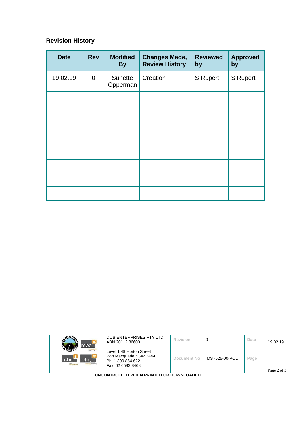## **Revision History**

| <b>Date</b> | <b>Rev</b>     | <b>Modified</b><br><b>By</b> | <b>Changes Made,</b><br><b>Review History</b> | <b>Reviewed</b><br>by | <b>Approved</b><br>by |
|-------------|----------------|------------------------------|-----------------------------------------------|-----------------------|-----------------------|
| 19.02.19    | $\overline{0}$ | Sunette<br>Opperman          | Creation                                      | <b>S</b> Rupert       | <b>S</b> Rupert       |
|             |                |                              |                                               |                       |                       |
|             |                |                              |                                               |                       |                       |
|             |                |                              |                                               |                       |                       |
|             |                |                              |                                               |                       |                       |
|             |                |                              |                                               |                       |                       |
|             |                |                              |                                               |                       |                       |
|             |                |                              |                                               |                       |                       |
|             |                |                              |                                               |                       |                       |

| mbc <sup>-</sup>                                            | DOB ENTERPRISES PTY LTD<br>ABN 20112 866001                                                   | Revision    | 0               | Date | 19.02.19 |  |  |
|-------------------------------------------------------------|-----------------------------------------------------------------------------------------------|-------------|-----------------|------|----------|--|--|
| <b>Informer Neg</b><br>mbc`<br>mbc<br>mle<br>sursing agency | Level 1 49 Horton Street<br>Port Macquarie NSW 2444<br>Ph: 1 300 854 622<br>Fax: 02 6583 8468 | Document No | IMS -525-00-POL | Page |          |  |  |
| Page 2 of 3<br>UNCONTROLLED WHEN PRINTED OR DOWNLOADED      |                                                                                               |             |                 |      |          |  |  |